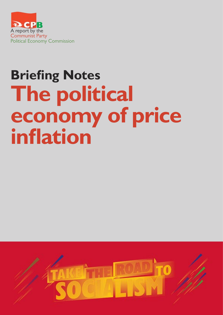

# **Briefing Notes The political economy of price inflation**

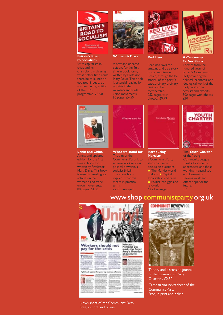

#### **Britain's Road to Socialism**

With capitalism in crisis and its champions in disarray what better time could there be to launch an updated, indeed, upto-the-minute, edition of the CP's programme £3.00



**Women & Class**

A new and updated edition, for the first time in book form, written by Professor Mary Davis. This book is essential reading for activists in the women's and trade union movements. 80 pages. £4.50



**Red Lives**

Read *Red Lives* the amazing and true story of communism in Britain, through the life stories, of the party's extraordinary ordinary rank and file membership. 252 pages, with photos. £9.99



**A Centenary for Socialism** Themes from the hundred years of Britain's Communist Party covering the political, economic and ideological work of the party written by activists and experts. 300 pages with photos. £10



**Lenin and China** A new and updated

edition, for the first time in book form, written by Professor Mary Davis. This book is essential reading for activists in the women's and trade union movements. 80 pages. £4.50



**What we stand for**

The aim of the Communist Party is to achieve working class political power in a socialist Britain. This short book explains what this means in practical terms. £2 £1 unwaged



#### **Introducing Marxism**

a Communist Party study course with discussion questions  $\star$  The Marxist world outlook \* Capitalist exploitation and crisis  $\star$  Political struggle and revolution £2 £1 unwaged



The **Youth Charter** of the Young Communist League speaks to students, apprentices and those working in casualised employment or seeking work and offers hope for the future. £2



#### News sheet of the Communist Party Free, in print and online

### www.shop.communistparty.org.uk



Theory and discussion journal of the Communist Party Quarterly £2.50

Campaigning news sheet of the Communist Party Free, in print and online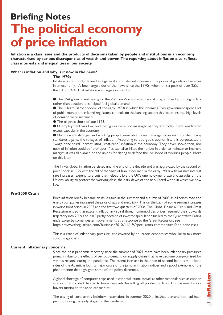## **Briefing Notes The political economy of price inflation**

**Inflation is a class issue and the products of decisions taken by people and institutions in an economy characterised by serious discrepancies of wealth and power. The reporting about inflation also reflects class interests and inequalities in our society.** 

#### **What is inflation and why is it now in the news?**

#### **The 1970s**

Inflation is commonly defined as a general and sustained increase in the prices of goods and services in an economy. It's been largely out of the news since the 1970s, when it hit a peak of over 25% in the UK in 1974. That inflation was largely caused by:

l The USA government paying for the Vietnam War and major social programmes by printing dollars rather than taxation, this helped fuel global demand,

l The "Heath-Barber boom" of the early 1970s in which the incoming Tory government spent a lot of public money and relaxed regulatory controls on the banking sector; this latter ensured high levels of demand were sustained.

● The oil price shock of late 1973.

l Unemployment was low, and the figures were not massaged as they are today, there was limited excess capacity in the economy.

l Unions were stronger and working people were able to secure wage increases to protect living standards against the ravages of inflation. According to bourgeois economists this perpetuated a "wage-price spiral" perpetuating "cost-push" inflation in the economy. They never spoke then, nor now, of inflation could be "profit push" as capitalists hiked their prices in order to maintain or improve margins, it was all blamed on the unions for daring to defend the livelihood of working people. More on this later.

The 1970s global inflation persisted until the end of the decade and was aggravated by the second oil price shock in 1979 with the fall of the Shah of Iran. It declined in the early 1980s with massive interest rate increases, expenditure cuts that helped triple the UK's unemployment rate and assaults on the Unions' ability to protect the working class, the dark dawn of the neo-liberal world in which we now live.

#### **Pre-2008 Crash**

Price inflation briefly became an issue again in the summer and autumn of 2008 as oil prices rose and energy companies increased the price of gas and electricity. This on the back of some serious increases in world food prices in 2007 and the first two quarters of 2008. The Global Financial Crisis and Great Recession ended that nascent inflationary spiral though commodities prices resumed their upwards trajectory into 2009 and 2010 partly because of investor speculation fuelled by the Quantitative Easing undertaken by some western governments as a response to the Great Recession, see https://www.theguardian.com/business/2010/jul/19/speculators-commodities-food-price-rises

This is a cause of inflationary pressure little covered by bourgeois economists who like to talk more about wage costs.

#### **Current inflationary concerns**

Since the post-pandemic recovery since the summer of 2021 there have been inflationary pressures primarily due to the effects of pent-up demand on supply chains that have become compromised for various reasons during the pandemic. The recent increase in the price of second-hand cars on both sides of the Atlantic is both a major cause of the jump in inflation indices and a good exemplar of the phenomenon that highlights some of the policy dilemmas.

A global shortage of computer chips used in car production, as well as other materials such as copper, aluminium and cobalt, has led to fewer new vehicles rolling off production lines. This has meant more buyers turning to the used-car market.

The easing of coronavirus lockdown restrictions in summer 2020 unleashed demand that had been pent up during the early stages of the pandemic.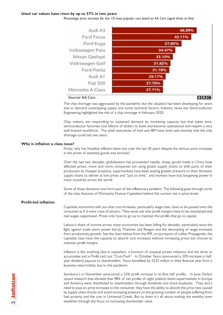#### **Used car values have risen by up to 57% in two years**

*Percentage price increase for the 10 most popular cars listed on AA Cars (aged three to five)*



The chip shortage was aggravated by the pandemic but the situation has been developing for years due to demand outstripping supply and some technical factors, Industry news site Semiconductor Engineering highlighted the risk of a chip shortage in February 2020.

Chip makers are responding to sustained demand by increasing capacity but that takes time, semiconductor factories cost billions of dollars to build and become operational and require a very well-trained workforce. The chief executives of Intel and IBM have both said recently that the chip shortage could last two years.

#### **Why is inflation a class issue?**

Firstly, why has headline inflation been low over the last 20 years despite the serious price increases in the prices of essential goods and services?

Over the last two decades, globalization has proceeded rapidly, cheap goods made in China have affected prices, more and more companies are using global supply chains to shift parts of their production to cheaper locations, supermarkets have been putting greater pressure on their domestic supply chains to deliver at low prices and "just on time," and workers have lost bargaining power in many countries across the world.

Some of these decisions now form part of the inflationary problem. The following goes through some of the class features of Monopoly Finance Capitalism behind the current rise in price levels.

#### **Profit-led inflation**

Capitalist economics tells you that cost increases, particularly wage rises, have to be passed onto the consumer as if it were a law of physics. They never ask why profit margins have to be maintained and real wages suppressed. Prices only have to go up to maintain the profits that go to capital.

Labour's share of income across many economies has been falling for decades, particularly since the fight against trade union power led by Thatcher and Reagan and the decoupling of wage increases from productivity growth. See the chart below from the IMF, no purveyors of Leftist Propaganda, the capitalist class have the capacity to absorb cost increases without increasing prices but choose to maintain profit margins.

Inflation is like anything else in capitalism, a function of unequal power relations and the drive to accumulate and is Profit-Led, not "Cost-Push" - In October Tesco announced a 20% increase in halfyear dividend payouts to shareholders. Tesco benefited by £532 million in their financial year from a business rates holiday due to the pandemic.

Sainsbury's in November announced a 23% profit increase in its first half profits. In June Oxfam issued research that showed that 98% of net profits of eight publicly-listed supermarkets in Europe and America were distributed to shareholders through dividends and share buybacks. They don't need to pass on price increases to the consumer, they have the ability to absorb the price rises caused by supply chain shocks and avoid increasing pressure on the growing number of people suffering from fuel poverty and the cuts in Universal Credit. But to them it's all about making the wealthy even wealthier through the focus on increasing shareholder value.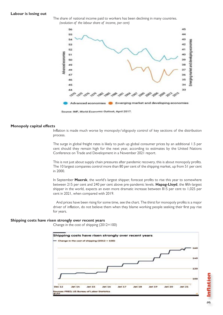#### **Labour is losing out**





#### **Monopoly capital effects**

Inflation is made much worse by monopoly/oligopoly control of key sections of the distribution process.

The surge in global freight rates is likely to push up global consumer prices by an additional 1.5 per cent should they remain high for the next year, according to estimates by the United Nations Conference on Trade and Development in a November 2021 report.

This is not just about supply chain pressures after pandemic recovery, this is about monopoly profits. The 10 largest companies control more than 80 per cent of the shipping market, up from 51 per cent in 2000.

In September **Maersk**, the world's largest shipper, forecast profits to rise this year to somewhere between 215 per cent and 240 per cent above pre-pandemic levels. **Hapag-Lloyd**, the fifth-largest shipper in the world, expects an even more dramatic increase between 815 per cent to 1,025 per cent in 2021, when compared with 2019.

And prices have been rising for some time, see the chart. The thirst for monopoly profits is a major driver of inflation, do not believe them when they blame working people seeking their first pay rise for years.

#### **Shipping costs have risen strongly over recent years**

Change in the cost of shipping (2012=100)



 **Inflation**Inflation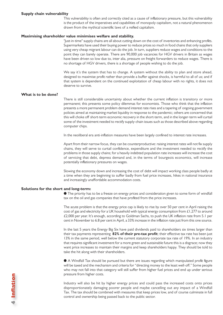#### **Supply chain vulnerability**

This vulnerability is often and correctly cited as a cause of inflationary pressure, but this vulnerability is the product of the imperatives and capabilities of monopoly capitalism, not a natural phenomenon drawn from the mythical scientific laws of a reified capitalism.

#### **Maximising shareholder value minimises welfare and stability.**

"Just-in-time" supply chains are all about cutting down on the cost of inventories and enhancing profits. Supermarkets have used their buying power to reduce prices so much in food chains that only suppliers using very cheap migrant labour can do the job. In turn, suppliers reduce wages and conditions to the point they can barely operate. There are 90,000 job vacancies for HGV drivers in Britain as wages have been driven so low due to, inter alia, pressure on freight forwarders to reduce wages. There is no shortage of HGV drivers, there is a shortage of people wishing to do the job.

We say it's the system that has to change. A system without the ability to plan and store ahead, designed to maximise profit rather than provide a buffer against shocks, is harmful to all of us; and if that system is dependent on the continued exploitation of cheap labour with no rights, it does not deserve to survive.

#### **What is to be done?**

There is still considerable uncertainty about whether the current inflation is transitory or more permanent; this presents some policy dilemmas for economists. Those who think that the inflation presents a more permanent problem demand interest rate rises and a tapering of ongoing government policies aimed at maintaining market liquidity in response to the pandemic; others are concerned that this will choke off short-term economic recovery in the short-term, and in the longer-term will curtail some of the investment needed to rectify supply-chain issues such as those described above regarding computer chips.

In the neoliberal era anti-inflation measures have been largely confined to interest rate increases.

Apart from their narrow focus, they can be counterproductive: raising interest rates will not fix supply chains, they will serve to curtail confidence, expenditure and the investment needed to rectify the problems in those supply chains; for a heavily indebted population rate increases will increase the cost of servicing that debt, depress demand and, in the terms of bourgeois economics, will increase potentially inflationary pressures on wages.

Slowing the economy down and increasing the cost of debt will impact working class people badly at a time when they are beginning to suffer badly from fuel price increases, hikes in national insurance and increasingly unaffordable accommodation costs.

#### **Solutions for the short and long-term:**

l The priority has to be a freeze on energy prices and consideration given to some form of windfall tax on the oil and gas companies that have profited from the price increases.

The acute problem is that the energy price cap is likely to rise by over 50 per cent in April raising the cost of gas and electricity for a UK household with typical energy consumption from £1,277 to around £2,000 per year. It's enough, according to Goldman Sachs, to push the UK inflation rate from 5.1 per cent in November to 6.8 per cent in April, a 33% increase in the inflation rate just from this one source.

In the last 5 years the Energy Big Six have paid dividends paid to shareholders six times larger than their tax payments representing **82% of their pre-tax profit**; their effective tax rate has been just 13% in the same period, well below the current statutory corporate tax rate of 19%. In an industry that requires significant investment for a more green and sustainable future this is a disgrace; now they want price increases to maintain their margins and keep shareholders happy. They should be told to take the hit along with their shareholders.

l A Windfall Tax should be pursued but there are issues regarding which manipulated profit figure will be taxed and the mechanism and criteria for "directing money to the least well-off." Some people who may not fall into that category will still suffer from higher fuel prices and end up under serious pressure from higher costs.

Industry will also be hit by higher energy prices and could pass the increased costs onto prices disproportionately damaging poorer people and maybe cancelling out any impact of a Windfall Tax. The tax should be combined with measures that keep prices low, and of course culminate in full control and ownership being passed back to the public sector.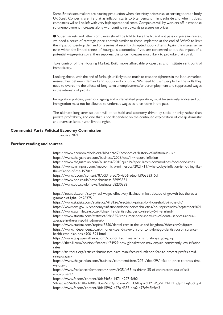Some British steelmakers are pausing production when electricity prices rise, according to trade body UK Steel. Concerns are rife that as inflation starts to bite, demand might subside and when it does, companies will still be left with very high operational costs. Companies will lay workers off in response so unemployment increases along with continuing upwards pressure on prices.

l Supermarkets and other companies should be told to take the hit and not pass on price increases, we need a series of strategic price controls similar to those implanted at the end of WW2 to limit the impact of pent-up demand on a series of recently disrupted supply chains. Again, this makes sense even within the limited tenets of bourgeois economics: if you are concerned about the impact of a potential wage-price spiral then suppress the price increases most likely to provoke that spiral.

Take control of the Housing Market. Build more affordable properties and institute rent control immediately.

Looking ahead, with the end of furlough unlikely to do much to ease the tightness in the labour market, mismatches between demand and supply will continue. We need to train people for the skills they need to overcome the effects of long-term unemployment/underemployment and suppressed wages in the interests of profits.

Immigration policies, given our ageing and under-skilled population, must be seriously addressed but immigration must not be allowed to undercut wages as it has done in the past.

The ultimate long-term solution will be to build and economy driven by social priority rather than private profitability, and one that is not dependent on the continued exploitation of cheap domestic and overseas labour with limited rights.

#### **Communist Party Political Economy Commission**

January 2021

#### **Further reading and sources**

https://www.economicshelp.org/blog/2647/economics/history-of-inflation-in-uk/ https://www.theguardian.com/business/2008/oct/14/record-inflation https://www.theguardian.com/business/2010/jul/19/speculators-commodities-food-price-rises https://www.minnpost.com/macro-micro-minnesota/2021/11/why-todays-inflation-is-nothing-likethe-inflation-of-the-1970s/ https://www.ft.com/content/87c0f31a-ed75-4306-adec-fbf9b323315d https://www.bbc.co.uk/news/business-58993851 https://www.bbc.co.uk/news/business-58230388 https://news.sky.com/story/real-wages-effectively-flatlined-in-lost-decade-of-growth-but-theres-aglimmer-of-light-12428375 https://www.statista.com/statistics/418126/electricity-prices-for-households-in-the-uk/ https://www.ons.gov.uk/economy/inflationandpriceindices/bulletins/housepriceindex/september2021 https://www.apsmilecare.co.uk/blog/nhs-dentist-charges-to-rise-by-5-in-england/ https://www.statista.com/statistics/286555/consumer-price-index-cpi-of-dental-services-annualaverage-in-the-united-kingdom-uk/ https://www.statista.com/topics/3350/dental-care-in-the-united-kingdom/#dossierKeyfigures https://www.independent.co.uk/money/spend-save/third-britons-dont-go-dentist-cost-insurancehealth-cash-plan-nhs-a9001521.html https://www.taxpayersalliance.com/council\_tax\_rises\_why\_is\_it\_always\_going\_up https://thehill.com/opinion/finance/474929-how-globalization-may-explain-consistently-low-inflationrates https://truthout.org/articles/businesses-have-manufactured-inflation-fear-to-protect-profits-amidrising-wages/ https://www.theguardian.com/business/commentisfree/2021/dec/29/inflation-price-controls-timewe-use-it https://www.freelanceinformer.com/news/ir35/ir35-its-driven-35-of-contractors-out-of-selfemployment/ https://www.ft.com/content/0dc34e5c-1471-4227-9db2- 582aa5aa6f96?fbclid=IwAR0GHGeIi5Ud2yDoaowVK1rOAGyzv6HYczP\_WCM-HrFB\_lyJhZwj4pckSpA https://www.ft.com/content/8dc159b2-e77a-4357-bda2-a97e9e8b9ce3